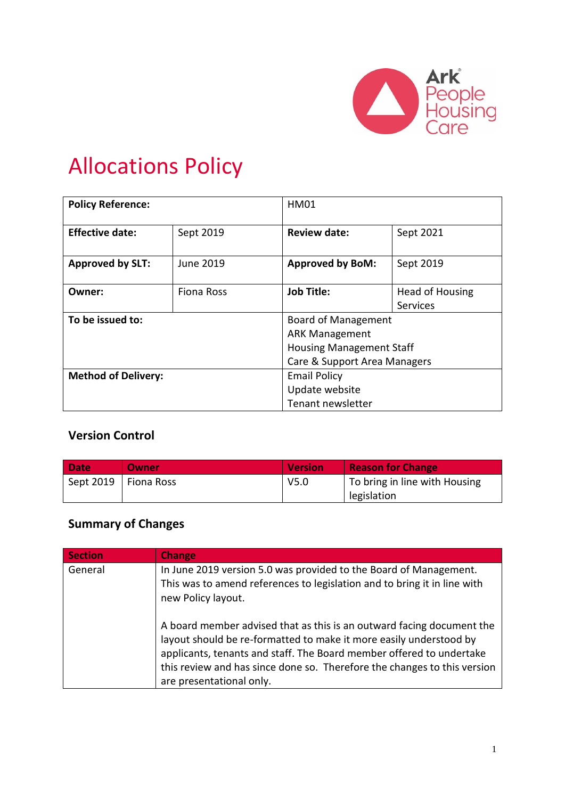

# Allocations Policy

| <b>Policy Reference:</b>   |                   | <b>HM01</b>                     |                 |
|----------------------------|-------------------|---------------------------------|-----------------|
| <b>Effective date:</b>     | Sept 2019         | <b>Review date:</b>             | Sept 2021       |
| <b>Approved by SLT:</b>    | June 2019         | <b>Approved by BoM:</b>         | Sept 2019       |
| Owner:                     | Fiona Ross        | <b>Job Title:</b>               | Head of Housing |
|                            |                   |                                 | <b>Services</b> |
| To be issued to:           |                   | <b>Board of Management</b>      |                 |
|                            |                   | <b>ARK Management</b>           |                 |
|                            |                   | <b>Housing Management Staff</b> |                 |
|                            |                   | Care & Support Area Managers    |                 |
| <b>Method of Delivery:</b> |                   | <b>Email Policy</b>             |                 |
| Update website             |                   |                                 |                 |
|                            | Tenant newsletter |                                 |                 |

# **Version Control**

| Date | <b>Owner</b>           | <b>Version</b>   | <b>Reason for Change</b>      |
|------|------------------------|------------------|-------------------------------|
|      | Sept 2019   Fiona Ross | V <sub>5.0</sub> | To bring in line with Housing |
|      |                        |                  | legislation                   |

# **Summary of Changes**

| <b>Section</b> | <b>Change</b>                                                                                                                                                                                                                                                                                                               |
|----------------|-----------------------------------------------------------------------------------------------------------------------------------------------------------------------------------------------------------------------------------------------------------------------------------------------------------------------------|
| General        | In June 2019 version 5.0 was provided to the Board of Management.<br>This was to amend references to legislation and to bring it in line with<br>new Policy layout.                                                                                                                                                         |
|                | A board member advised that as this is an outward facing document the<br>layout should be re-formatted to make it more easily understood by<br>applicants, tenants and staff. The Board member offered to undertake<br>this review and has since done so. Therefore the changes to this version<br>are presentational only. |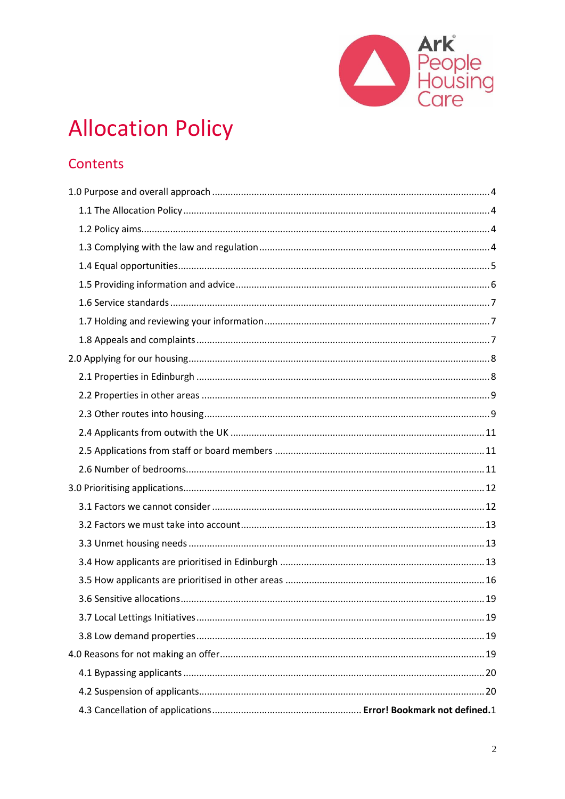

# **Allocation Policy**

# Contents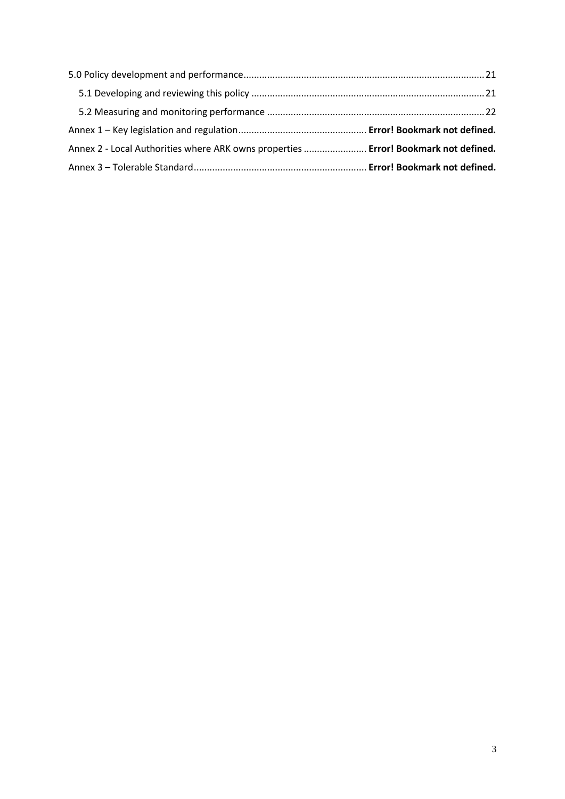| Annex 2 - Local Authorities where ARK owns properties  Error! Bookmark not defined. |  |
|-------------------------------------------------------------------------------------|--|
|                                                                                     |  |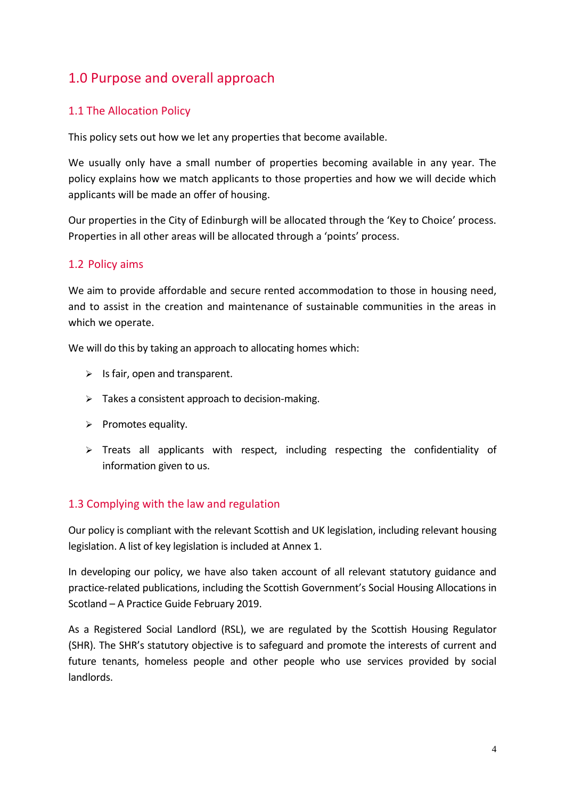# 1.0 Purpose and overall approach

## 1.1 The Allocation Policy

This policy sets out how we let any properties that become available.

We usually only have a small number of properties becoming available in any year. The policy explains how we match applicants to those properties and how we will decide which applicants will be made an offer of housing.

Our properties in the City of Edinburgh will be allocated through the 'Key to Choice' process. Properties in all other areas will be allocated through a 'points' process.

## 1.2 Policy aims

We aim to provide affordable and secure rented accommodation to those in housing need, and to assist in the creation and maintenance of sustainable communities in the areas in which we operate.

We will do this by taking an approach to allocating homes which:

- $\triangleright$  Is fair, open and transparent.
- $\triangleright$  Takes a consistent approach to decision-making.
- $\triangleright$  Promotes equality.
- $\triangleright$  Treats all applicants with respect, including respecting the confidentiality of information given to us.

## 1.3 Complying with the law and regulation

Our policy is compliant with the relevant Scottish and UK legislation, including relevant housing legislation. A list of key legislation is included at Annex 1.

In developing our policy, we have also taken account of all relevant statutory guidance and practice-related publications, including the Scottish Government's Social Housing Allocations in Scotland – A Practice Guide February 2019.

As a Registered Social Landlord (RSL), we are regulated by the Scottish Housing Regulator (SHR). The SHR's statutory objective is to safeguard and promote the interests of current and future tenants, homeless people and other people who use services provided by social landlords.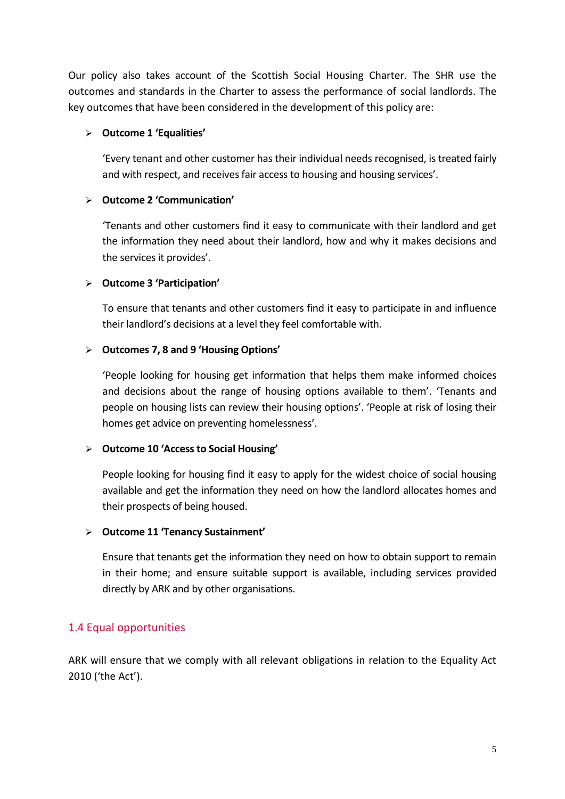Our policy also takes account of the Scottish Social Housing Charter. The SHR use the outcomes and standards in the Charter to assess the performance of social landlords. The key outcomes that have been considered in the development of this policy are:

#### **Outcome 1 'Equalities'**

'Every tenant and other customer has their individual needs recognised, is treated fairly and with respect, and receives fair access to housing and housing services'.

#### **Outcome 2 'Communication'**

'Tenants and other customers find it easy to communicate with their landlord and get the information they need about their landlord, how and why it makes decisions and the services it provides'.

#### **Outcome 3 'Participation'**

To ensure that tenants and other customers find it easy to participate in and influence their landlord's decisions at a level they feel comfortable with.

#### **Outcomes 7, 8 and 9 'Housing Options'**

'People looking for housing get information that helps them make informed choices and decisions about the range of housing options available to them'. 'Tenants and people on housing lists can review their housing options'. 'People at risk of losing their homes get advice on preventing homelessness'.

#### **Outcome 10 'Access to Social Housing'**

People looking for housing find it easy to apply for the widest choice of social housing available and get the information they need on how the landlord allocates homes and their prospects of being housed.

## **Outcome 11 'Tenancy Sustainment'**

Ensure that tenants get the information they need on how to obtain support to remain in their home; and ensure suitable support is available, including services provided directly by ARK and by other organisations.

# 1.4 Equal opportunities

ARK will ensure that we comply with all relevant obligations in relation to the Equality Act 2010 ('the Act').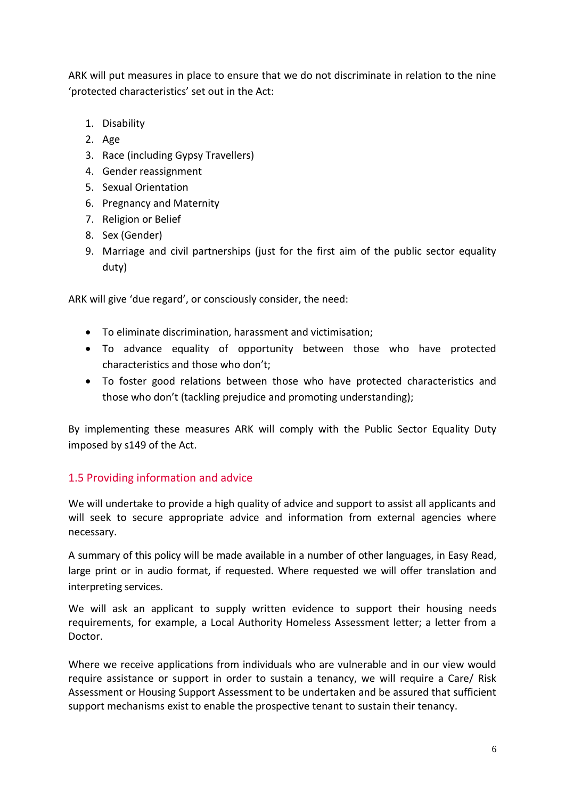ARK will put measures in place to ensure that we do not discriminate in relation to the nine 'protected characteristics' set out in the Act:

- 1. Disability
- 2. Age
- 3. Race (including Gypsy Travellers)
- 4. Gender reassignment
- 5. Sexual Orientation
- 6. Pregnancy and Maternity
- 7. Religion or Belief
- 8. Sex (Gender)
- 9. Marriage and civil partnerships (just for the first aim of the public sector equality duty)

ARK will give 'due regard', or consciously consider, the need:

- To eliminate discrimination, harassment and victimisation;
- To advance equality of opportunity between those who have protected characteristics and those who don't;
- To foster good relations between those who have protected characteristics and those who don't (tackling prejudice and promoting understanding);

By implementing these measures ARK will comply with the Public Sector Equality Duty imposed by s149 of the Act.

# 1.5 Providing information and advice

We will undertake to provide a high quality of advice and support to assist all applicants and will seek to secure appropriate advice and information from external agencies where necessary.

A summary of this policy will be made available in a number of other languages, in Easy Read, large print or in audio format, if requested. Where requested we will offer translation and interpreting services.

We will ask an applicant to supply written evidence to support their housing needs requirements, for example, a Local Authority Homeless Assessment letter; a letter from a Doctor.

Where we receive applications from individuals who are vulnerable and in our view would require assistance or support in order to sustain a tenancy, we will require a Care/ Risk Assessment or Housing Support Assessment to be undertaken and be assured that sufficient support mechanisms exist to enable the prospective tenant to sustain their tenancy.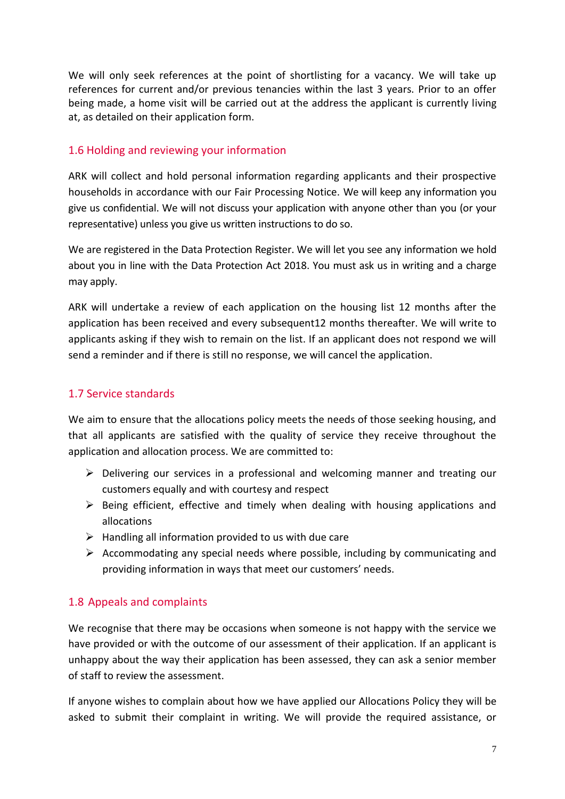We will only seek references at the point of shortlisting for a vacancy. We will take up references for current and/or previous tenancies within the last 3 years. Prior to an offer being made, a home visit will be carried out at the address the applicant is currently living at, as detailed on their application form.

## 1.6 Holding and reviewing your information

ARK will collect and hold personal information regarding applicants and their prospective households in accordance with our Fair Processing Notice. We will keep any information you give us confidential. We will not discuss your application with anyone other than you (or your representative) unless you give us written instructions to do so.

We are registered in the Data Protection Register. We will let you see any information we hold about you in line with the Data Protection Act 2018. You must ask us in writing and a charge may apply.

ARK will undertake a review of each application on the housing list 12 months after the application has been received and every subsequent12 months thereafter. We will write to applicants asking if they wish to remain on the list. If an applicant does not respond we will send a reminder and if there is still no response, we will cancel the application.

## 1.7 Service standards

We aim to ensure that the allocations policy meets the needs of those seeking housing, and that all applicants are satisfied with the quality of service they receive throughout the application and allocation process. We are committed to:

- $\triangleright$  Delivering our services in a professional and welcoming manner and treating our customers equally and with courtesy and respect
- $\triangleright$  Being efficient, effective and timely when dealing with housing applications and allocations
- $\triangleright$  Handling all information provided to us with due care
- $\triangleright$  Accommodating any special needs where possible, including by communicating and providing information in ways that meet our customers' needs.

# 1.8 Appeals and complaints

We recognise that there may be occasions when someone is not happy with the service we have provided or with the outcome of our assessment of their application. If an applicant is unhappy about the way their application has been assessed, they can ask a senior member of staff to review the assessment.

If anyone wishes to complain about how we have applied our Allocations Policy they will be asked to submit their complaint in writing. We will provide the required assistance, or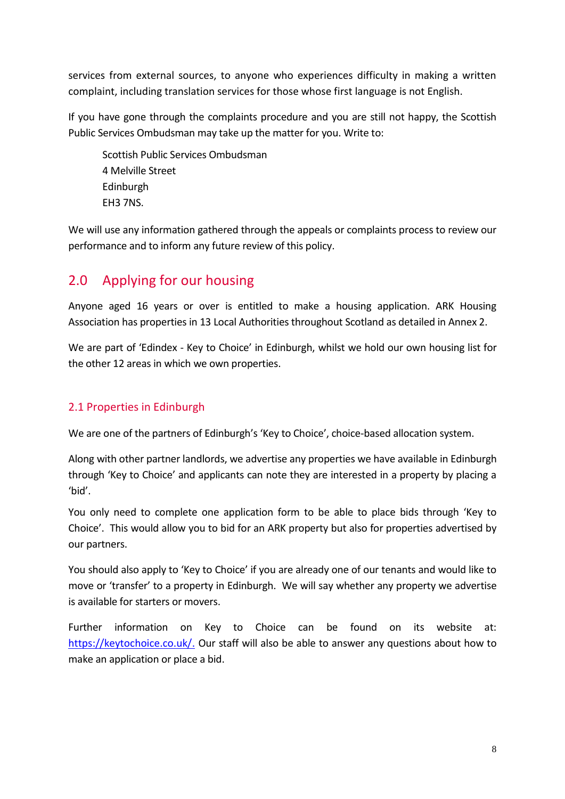services from external sources, to anyone who experiences difficulty in making a written complaint, including translation services for those whose first language is not English.

If you have gone through the complaints procedure and you are still not happy, the Scottish Public Services Ombudsman may take up the matter for you. Write to:

Scottish Public Services Ombudsman 4 Melville Street Edinburgh EH3 7NS.

We will use any information gathered through the appeals or complaints process to review our performance and to inform any future review of this policy.

# 2.0 Applying for our housing

Anyone aged 16 years or over is entitled to make a housing application. ARK Housing Association has properties in 13 Local Authorities throughout Scotland as detailed in Annex 2.

We are part of 'Edindex - Key to Choice' in Edinburgh, whilst we hold our own housing list for the other 12 areas in which we own properties.

# 2.1 Properties in Edinburgh

We are one of the partners of Edinburgh's 'Key to Choice', choice-based allocation system.

Along with other partner landlords, we advertise any properties we have available in Edinburgh through 'Key to Choice' and applicants can note they are interested in a property by placing a 'bid'.

You only need to complete one application form to be able to place bids through 'Key to Choice'. This would allow you to bid for an ARK property but also for properties advertised by our partners.

You should also apply to 'Key to Choice' if you are already one of our tenants and would like to move or 'transfer' to a property in Edinburgh. We will say whether any property we advertise is available for starters or movers.

Further information on Key to Choice can be found on its website at: [https://keytochoice.co.uk/.](https://keytochoice.co.uk/) Our staff will also be able to answer any questions about how to make an application or place a bid.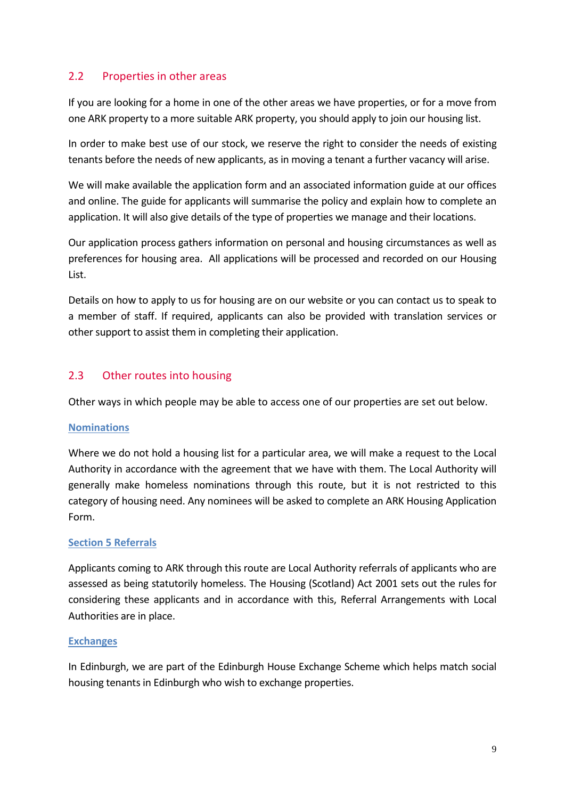#### 2.2 Properties in other areas

If you are looking for a home in one of the other areas we have properties, or for a move from one ARK property to a more suitable ARK property, you should apply to join our housing list.

In order to make best use of our stock, we reserve the right to consider the needs of existing tenants before the needs of new applicants, as in moving a tenant a further vacancy will arise.

We will make available the application form and an associated information guide at our offices and online. The guide for applicants will summarise the policy and explain how to complete an application. It will also give details of the type of properties we manage and their locations.

Our application process gathers information on personal and housing circumstances as well as preferences for housing area. All applications will be processed and recorded on our Housing List.

Details on how to apply to us for housing are on our website or you can contact us to speak to a member of staff. If required, applicants can also be provided with translation services or other support to assist them in completing their application.

#### 2.3 Other routes into housing

Other ways in which people may be able to access one of our properties are set out below.

#### **Nominations**

Where we do not hold a housing list for a particular area, we will make a request to the Local Authority in accordance with the agreement that we have with them. The Local Authority will generally make homeless nominations through this route, but it is not restricted to this category of housing need. Any nominees will be asked to complete an ARK Housing Application Form.

#### **Section 5 Referrals**

Applicants coming to ARK through this route are Local Authority referrals of applicants who are assessed as being statutorily homeless. The Housing (Scotland) Act 2001 sets out the rules for considering these applicants and in accordance with this, Referral Arrangements with Local Authorities are in place.

#### **Exchanges**

In Edinburgh, we are part of the Edinburgh House Exchange Scheme which helps match social housing tenants in Edinburgh who wish to exchange properties.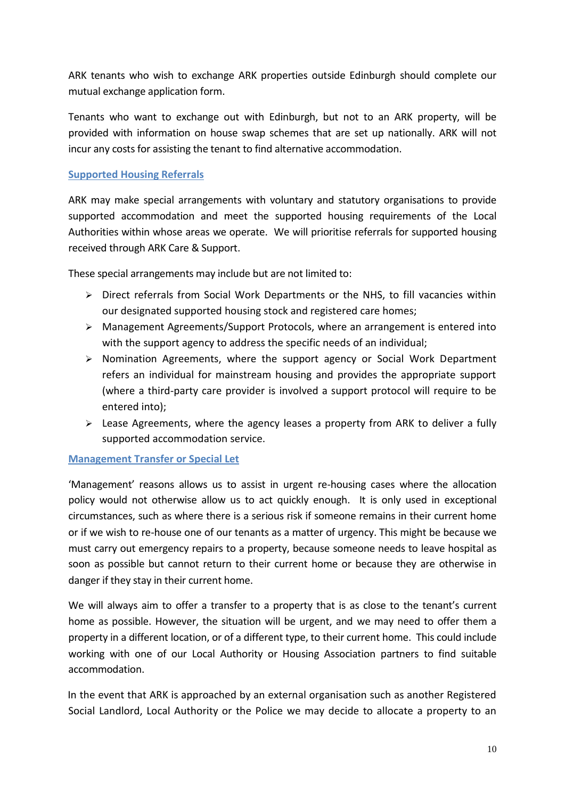ARK tenants who wish to exchange ARK properties outside Edinburgh should complete our mutual exchange application form.

Tenants who want to exchange out with Edinburgh, but not to an ARK property, will be provided with information on house swap schemes that are set up nationally. ARK will not incur any costs for assisting the tenant to find alternative accommodation.

#### **Supported Housing Referrals**

ARK may make special arrangements with voluntary and statutory organisations to provide supported accommodation and meet the supported housing requirements of the Local Authorities within whose areas we operate. We will prioritise referrals for supported housing received through ARK Care & Support.

These special arrangements may include but are not limited to:

- $\triangleright$  Direct referrals from Social Work Departments or the NHS, to fill vacancies within our designated supported housing stock and registered care homes;
- Management Agreements/Support Protocols, where an arrangement is entered into with the support agency to address the specific needs of an individual;
- $\triangleright$  Nomination Agreements, where the support agency or Social Work Department refers an individual for mainstream housing and provides the appropriate support (where a third-party care provider is involved a support protocol will require to be entered into);
- $\triangleright$  Lease Agreements, where the agency leases a property from ARK to deliver a fully supported accommodation service.

#### **Management Transfer or Special Let**

'Management' reasons allows us to assist in urgent re-housing cases where the allocation policy would not otherwise allow us to act quickly enough. It is only used in exceptional circumstances, such as where there is a serious risk if someone remains in their current home or if we wish to re-house one of our tenants as a matter of urgency. This might be because we must carry out emergency repairs to a property, because someone needs to leave hospital as soon as possible but cannot return to their current home or because they are otherwise in danger if they stay in their current home.

We will always aim to offer a transfer to a property that is as close to the tenant's current home as possible. However, the situation will be urgent, and we may need to offer them a property in a different location, or of a different type, to their current home. This could include working with one of our Local Authority or Housing Association partners to find suitable accommodation.

In the event that ARK is approached by an external organisation such as another Registered Social Landlord, Local Authority or the Police we may decide to allocate a property to an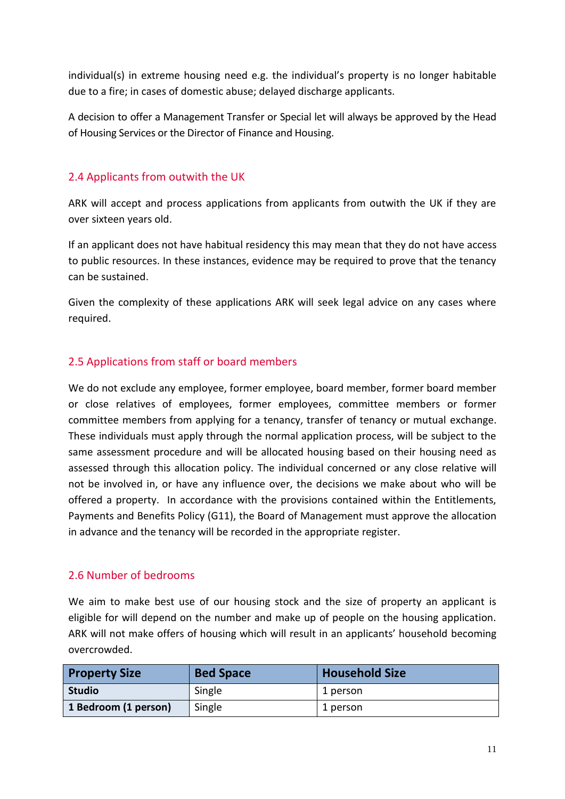individual(s) in extreme housing need e.g. the individual's property is no longer habitable due to a fire; in cases of domestic abuse; delayed discharge applicants.

A decision to offer a Management Transfer or Special let will always be approved by the Head of Housing Services or the Director of Finance and Housing.

## 2.4 Applicants from outwith the UK

ARK will accept and process applications from applicants from outwith the UK if they are over sixteen years old.

If an applicant does not have habitual residency this may mean that they do not have access to public resources. In these instances, evidence may be required to prove that the tenancy can be sustained.

Given the complexity of these applications ARK will seek legal advice on any cases where required.

## 2.5 Applications from staff or board members

We do not exclude any employee, former employee, board member, former board member or close relatives of employees, former employees, committee members or former committee members from applying for a tenancy, transfer of tenancy or mutual exchange. These individuals must apply through the normal application process, will be subject to the same assessment procedure and will be allocated housing based on their housing need as assessed through this allocation policy. The individual concerned or any close relative will not be involved in, or have any influence over, the decisions we make about who will be offered a property. In accordance with the provisions contained within the Entitlements, Payments and Benefits Policy (G11), the Board of Management must approve the allocation in advance and the tenancy will be recorded in the appropriate register.

## 2.6 Number of bedrooms

We aim to make best use of our housing stock and the size of property an applicant is eligible for will depend on the number and make up of people on the housing application. ARK will not make offers of housing which will result in an applicants' household becoming overcrowded.

| <b>Property Size</b> | <b>Bed Space</b> | <b>Household Size</b> |
|----------------------|------------------|-----------------------|
| <b>Studio</b>        | Single           | 1 person              |
| 1 Bedroom (1 person) | Single           | 1 person              |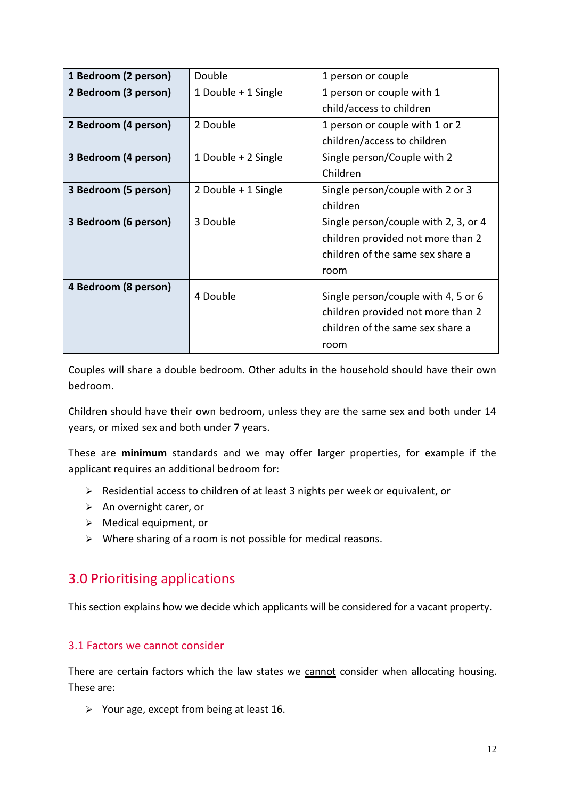| 1 Bedroom (2 person) | Double              | 1 person or couple                   |
|----------------------|---------------------|--------------------------------------|
| 2 Bedroom (3 person) | 1 Double + 1 Single | 1 person or couple with 1            |
|                      |                     | child/access to children             |
| 2 Bedroom (4 person) | 2 Double            | 1 person or couple with 1 or 2       |
|                      |                     | children/access to children          |
| 3 Bedroom (4 person) | 1 Double + 2 Single | Single person/Couple with 2          |
|                      |                     | Children                             |
| 3 Bedroom (5 person) | 2 Double + 1 Single | Single person/couple with 2 or 3     |
|                      |                     | children                             |
| 3 Bedroom (6 person) | 3 Double            | Single person/couple with 2, 3, or 4 |
|                      |                     | children provided not more than 2    |
|                      |                     | children of the same sex share a     |
|                      |                     | room                                 |
| 4 Bedroom (8 person) | 4 Double            |                                      |
|                      |                     | Single person/couple with 4, 5 or 6  |
|                      |                     | children provided not more than 2    |
|                      |                     | children of the same sex share a     |
|                      |                     | room                                 |

Couples will share a double bedroom. Other adults in the household should have their own bedroom.

Children should have their own bedroom, unless they are the same sex and both under 14 years, or mixed sex and both under 7 years.

These are **minimum** standards and we may offer larger properties, for example if the applicant requires an additional bedroom for:

- Residential access to children of at least 3 nights per week or equivalent, or
- $\triangleright$  An overnight carer, or
- Medical equipment, or
- $\triangleright$  Where sharing of a room is not possible for medical reasons.

# <span id="page-11-0"></span>3.0 Prioritising applications

This section explains how we decide which applicants will be considered for a vacant property.

#### 3.1 Factors we cannot consider

There are certain factors which the law states we cannot consider when allocating housing. These are:

 $\triangleright$  Your age, except from being at least 16.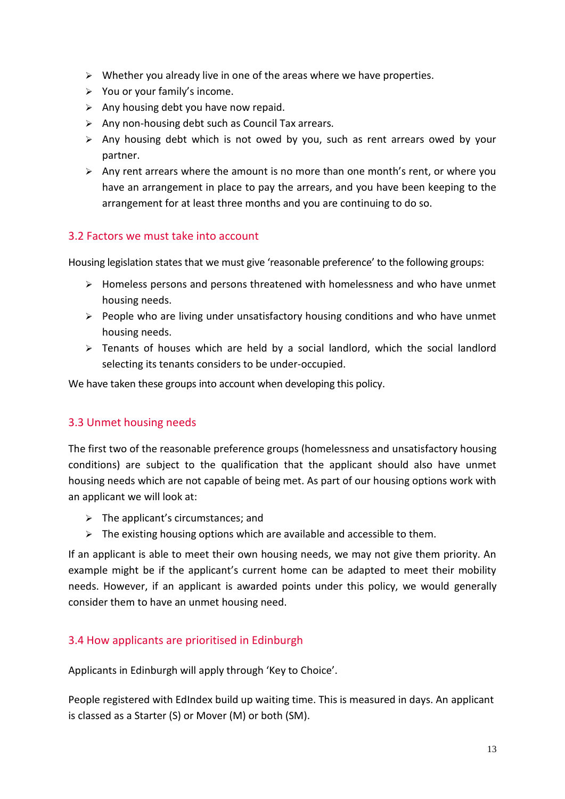- $\triangleright$  Whether you already live in one of the areas where we have properties.
- $\triangleright$  You or your family's income.
- $\triangleright$  Any housing debt you have now repaid.
- $\triangleright$  Any non-housing debt such as Council Tax arrears.
- $\triangleright$  Any housing debt which is not owed by you, such as rent arrears owed by your partner.
- $\triangleright$  Any rent arrears where the amount is no more than one month's rent, or where you have an arrangement in place to pay the arrears, and you have been keeping to the arrangement for at least three months and you are continuing to do so.

## 3.2 Factors we must take into account

Housing legislation states that we must give 'reasonable preference' to the following groups:

- Homeless persons and persons threatened with homelessness and who have unmet housing needs.
- $\triangleright$  People who are living under unsatisfactory housing conditions and who have unmet housing needs.
- $\geq$  Tenants of houses which are held by a social landlord, which the social landlord selecting its tenants considers to be under-occupied.

We have taken these groups into account when developing this policy.

## 3.3 Unmet housing needs

The first two of the reasonable preference groups (homelessness and unsatisfactory housing conditions) are subject to the qualification that the applicant should also have unmet housing needs which are not capable of being met. As part of our housing options work with an applicant we will look at:

- $\triangleright$  The applicant's circumstances; and
- $\triangleright$  The existing housing options which are available and accessible to them.

If an applicant is able to meet their own housing needs, we may not give them priority. An example might be if the applicant's current home can be adapted to meet their mobility needs. However, if an applicant is awarded points under this policy, we would generally consider them to have an unmet housing need.

## 3.4 How applicants are prioritised in Edinburgh

Applicants in Edinburgh will apply through 'Key to Choice'.

People registered with EdIndex build up waiting time. This is measured in days. An applicant is classed as a Starter (S) or Mover (M) or both (SM).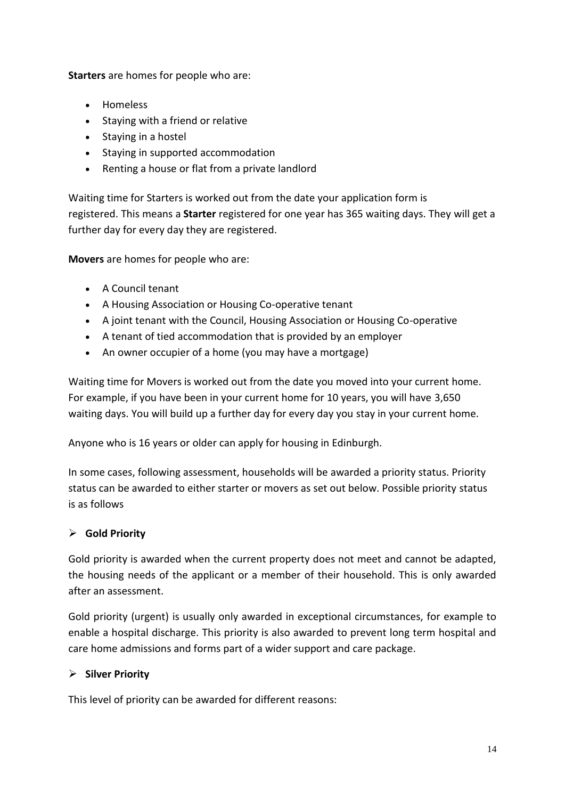**Starters** are homes for people who are:

- **.** Homeless
- Staying with a friend or relative
- Staying in a hostel
- Staying in supported accommodation
- Renting a house or flat from a private landlord

Waiting time for Starters is worked out from the date your application form is registered. This means a **Starter** registered for one year has 365 waiting days. They will get a further day for every day they are registered.

**Movers** are homes for people who are:

- A Council tenant
- A Housing Association or Housing Co-operative tenant
- A joint tenant with the Council, Housing Association or Housing Co-operative
- A tenant of tied accommodation that is provided by an employer
- An owner occupier of a home (you may have a mortgage)

Waiting time for Movers is worked out from the date you moved into your current home. For example, if you have been in your current home for 10 years, you will have 3,650 waiting days. You will build up a further day for every day you stay in your current home.

Anyone who is 16 years or older can apply for housing in Edinburgh.

In some cases, following assessment, households will be awarded a priority status. Priority status can be awarded to either starter or movers as set out below. Possible priority status is as follows

## **Gold Priority**

Gold priority is awarded when the current property does not meet and cannot be adapted, the housing needs of the applicant or a member of their household. This is only awarded after an assessment.

Gold priority (urgent) is usually only awarded in exceptional circumstances, for example to enable a hospital discharge. This priority is also awarded to prevent long term hospital and care home admissions and forms part of a wider support and care package.

## **Silver Priority**

This level of priority can be awarded for different reasons: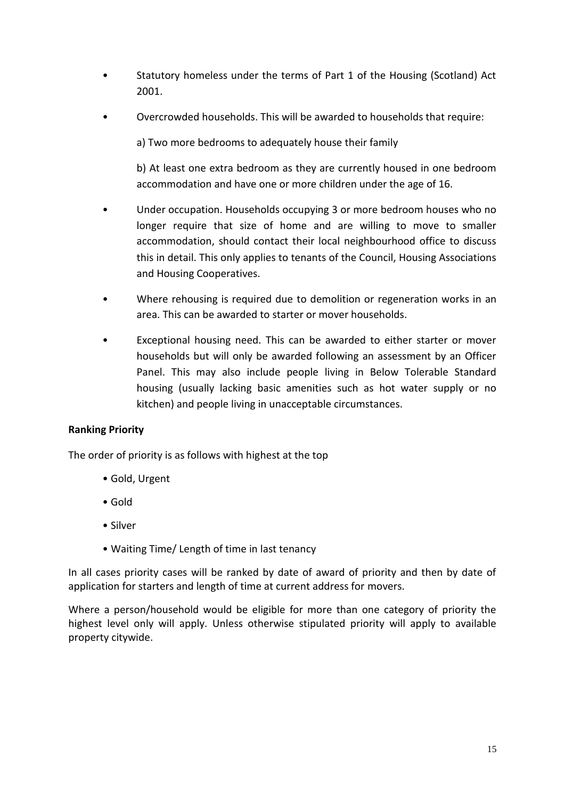- Statutory homeless under the terms of Part 1 of the Housing (Scotland) Act 2001.
- Overcrowded households. This will be awarded to households that require:

a) Two more bedrooms to adequately house their family

b) At least one extra bedroom as they are currently housed in one bedroom accommodation and have one or more children under the age of 16.

- Under occupation. Households occupying 3 or more bedroom houses who no longer require that size of home and are willing to move to smaller accommodation, should contact their local neighbourhood office to discuss this in detail. This only applies to tenants of the Council, Housing Associations and Housing Cooperatives.
- Where rehousing is required due to demolition or regeneration works in an area. This can be awarded to starter or mover households.
- Exceptional housing need. This can be awarded to either starter or mover households but will only be awarded following an assessment by an Officer Panel. This may also include people living in Below Tolerable Standard housing (usually lacking basic amenities such as hot water supply or no kitchen) and people living in unacceptable circumstances.

#### **Ranking Priority**

The order of priority is as follows with highest at the top

- Gold, Urgent
- Gold
- Silver
- Waiting Time/ Length of time in last tenancy

In all cases priority cases will be ranked by date of award of priority and then by date of application for starters and length of time at current address for movers.

Where a person/household would be eligible for more than one category of priority the highest level only will apply. Unless otherwise stipulated priority will apply to available property citywide.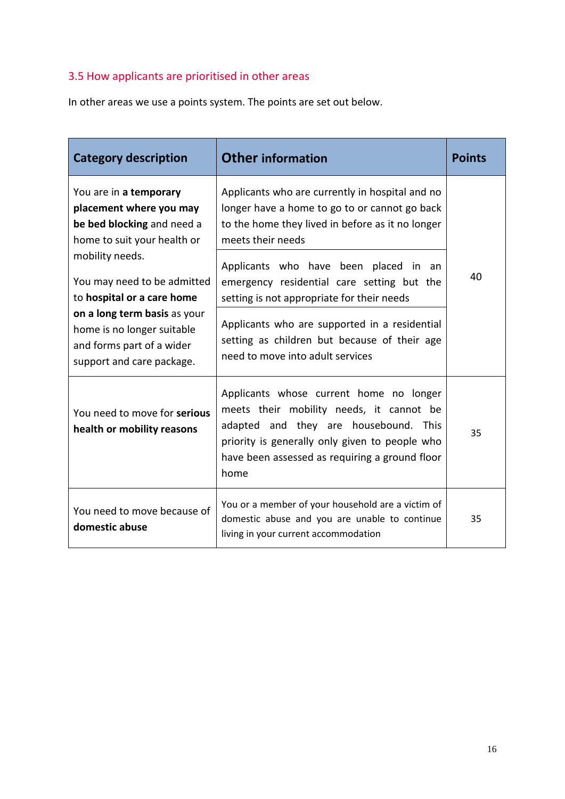# 3.5 How applicants are prioritised in other areas

In other areas we use a points system. The points are set out below.

| <b>Category description</b>                                                                                                       | <b>Other information</b>                                                                                                                                                                                                                 | <b>Points</b> |
|-----------------------------------------------------------------------------------------------------------------------------------|------------------------------------------------------------------------------------------------------------------------------------------------------------------------------------------------------------------------------------------|---------------|
| You are in a temporary<br>placement where you may<br>be bed blocking and need a<br>home to suit your health or<br>mobility needs. | Applicants who are currently in hospital and no<br>longer have a home to go to or cannot go back<br>to the home they lived in before as it no longer<br>meets their needs                                                                |               |
| You may need to be admitted<br>to hospital or a care home                                                                         | Applicants who have been placed<br>in.<br>- an<br>emergency residential care setting but the<br>setting is not appropriate for their needs                                                                                               | 40            |
| on a long term basis as your<br>home is no longer suitable<br>and forms part of a wider<br>support and care package.              | Applicants who are supported in a residential<br>setting as children but because of their age<br>need to move into adult services                                                                                                        |               |
| You need to move for serious<br>health or mobility reasons                                                                        | Applicants whose current home no longer<br>meets their mobility needs, it cannot be<br>adapted and they are housebound. This<br>priority is generally only given to people who<br>have been assessed as requiring a ground floor<br>home | 35            |
| You need to move because of<br>domestic abuse                                                                                     | You or a member of your household are a victim of<br>domestic abuse and you are unable to continue<br>living in your current accommodation                                                                                               | 35            |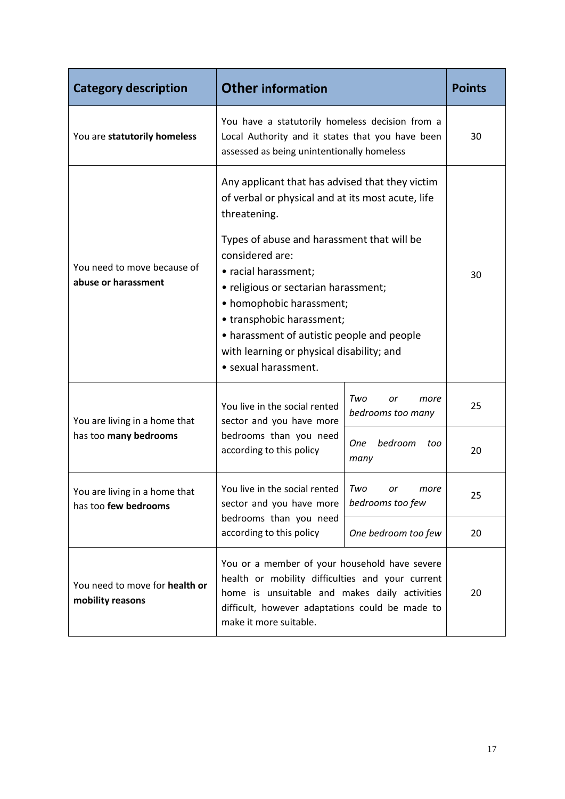| <b>Category description</b>                           | <b>Other information</b>                                                                                                                                                                                                                                                                                                                                                                                                          |                                        | <b>Points</b> |
|-------------------------------------------------------|-----------------------------------------------------------------------------------------------------------------------------------------------------------------------------------------------------------------------------------------------------------------------------------------------------------------------------------------------------------------------------------------------------------------------------------|----------------------------------------|---------------|
| You are statutorily homeless                          | You have a statutorily homeless decision from a<br>Local Authority and it states that you have been<br>assessed as being unintentionally homeless                                                                                                                                                                                                                                                                                 |                                        | 30            |
| You need to move because of<br>abuse or harassment    | Any applicant that has advised that they victim<br>of verbal or physical and at its most acute, life<br>threatening.<br>Types of abuse and harassment that will be<br>considered are:<br>• racial harassment;<br>• religious or sectarian harassment;<br>• homophobic harassment;<br>• transphobic harassment;<br>• harassment of autistic people and people<br>with learning or physical disability; and<br>· sexual harassment. |                                        | 30            |
| You are living in a home that                         | You live in the social rented<br>sector and you have more                                                                                                                                                                                                                                                                                                                                                                         | Two<br>or<br>more<br>bedrooms too many | 25            |
| has too many bedrooms                                 | bedrooms than you need<br>according to this policy                                                                                                                                                                                                                                                                                                                                                                                | bedroom<br><b>One</b><br>too<br>many   | 20            |
| You are living in a home that<br>has too few bedrooms | You live in the social rented<br>sector and you have more                                                                                                                                                                                                                                                                                                                                                                         | Two<br>or<br>more<br>bedrooms too few  | 25            |
|                                                       | bedrooms than you need<br>according to this policy<br>One bedroom too few                                                                                                                                                                                                                                                                                                                                                         |                                        | 20            |
| You need to move for health or<br>mobility reasons    | You or a member of your household have severe<br>health or mobility difficulties and your current<br>home is unsuitable and makes daily activities<br>difficult, however adaptations could be made to<br>make it more suitable.                                                                                                                                                                                                   |                                        | 20            |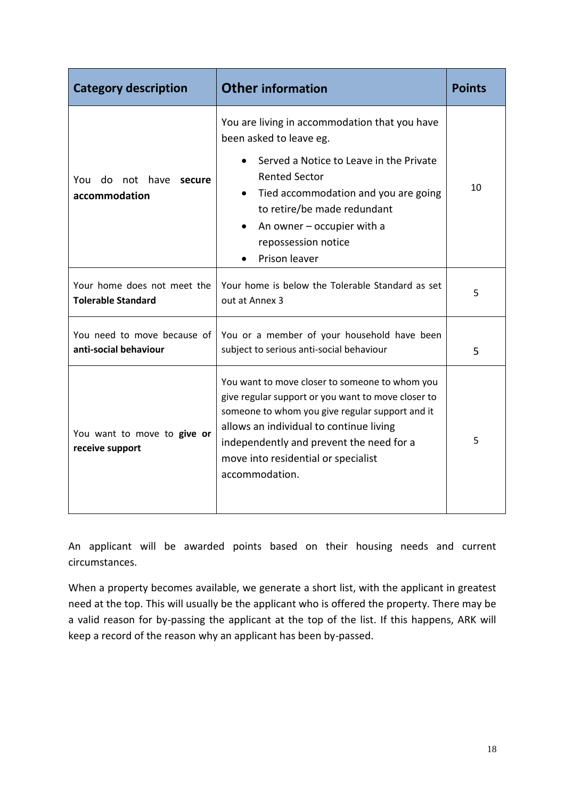| <b>Category description</b>                              | <b>Other information</b>                                                                                                                                                                                                                                                                                | Points |
|----------------------------------------------------------|---------------------------------------------------------------------------------------------------------------------------------------------------------------------------------------------------------------------------------------------------------------------------------------------------------|--------|
| do not have<br>You<br>secure<br>accommodation            | You are living in accommodation that you have<br>been asked to leave eg.<br>Served a Notice to Leave in the Private<br><b>Rented Sector</b><br>Tied accommodation and you are going<br>to retire/be made redundant<br>An owner $-$ occupier with a<br>repossession notice<br>Prison leaver              | 10     |
| Your home does not meet the<br><b>Tolerable Standard</b> | Your home is below the Tolerable Standard as set<br>out at Annex 3                                                                                                                                                                                                                                      | 5      |
| You need to move because of<br>anti-social behaviour     | You or a member of your household have been<br>subject to serious anti-social behaviour                                                                                                                                                                                                                 | 5      |
| You want to move to give or<br>receive support           | You want to move closer to someone to whom you<br>give regular support or you want to move closer to<br>someone to whom you give regular support and it<br>allows an individual to continue living<br>independently and prevent the need for a<br>move into residential or specialist<br>accommodation. | 5      |

An applicant will be awarded points based on their housing needs and current circumstances.

When a property becomes available, we generate a short list, with the applicant in greatest need at the top. This will usually be the applicant who is offered the property. There may be a valid reason for by-passing the applicant at the top of the list. If this happens, ARK will keep a record of the reason why an applicant has been by-passed.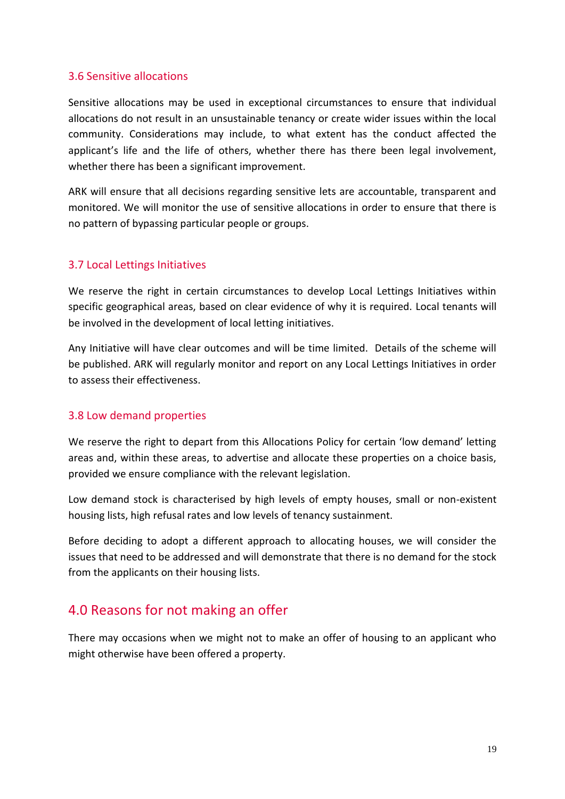#### 3.6 Sensitive allocations

Sensitive allocations may be used in exceptional circumstances to ensure that individual allocations do not result in an unsustainable tenancy or create wider issues within the local community. Considerations may include, to what extent has the conduct affected the applicant's life and the life of others, whether there has there been legal involvement, whether there has been a significant improvement.

ARK will ensure that all decisions regarding sensitive lets are accountable, transparent and monitored. We will monitor the use of sensitive allocations in order to ensure that there is no pattern of bypassing particular people or groups.

#### 3.7 Local Lettings Initiatives

We reserve the right in certain circumstances to develop Local Lettings Initiatives within specific geographical areas, based on clear evidence of why it is required. Local tenants will be involved in the development of local letting initiatives.

Any Initiative will have clear outcomes and will be time limited. Details of the scheme will be published. ARK will regularly monitor and report on any Local Lettings Initiatives in order to assess their effectiveness.

#### 3.8 Low demand properties

We reserve the right to depart from this Allocations Policy for certain 'low demand' letting areas and, within these areas, to advertise and allocate these properties on a choice basis, provided we ensure compliance with the relevant legislation.

Low demand stock is characterised by high levels of empty houses, small or non-existent housing lists, high refusal rates and low levels of tenancy sustainment.

Before deciding to adopt a different approach to allocating houses, we will consider the issues that need to be addressed and will demonstrate that there is no demand for the stock from the applicants on their housing lists.

# <span id="page-18-0"></span>4.0 Reasons for not making an offer

There may occasions when we might not to make an offer of housing to an applicant who might otherwise have been offered a property.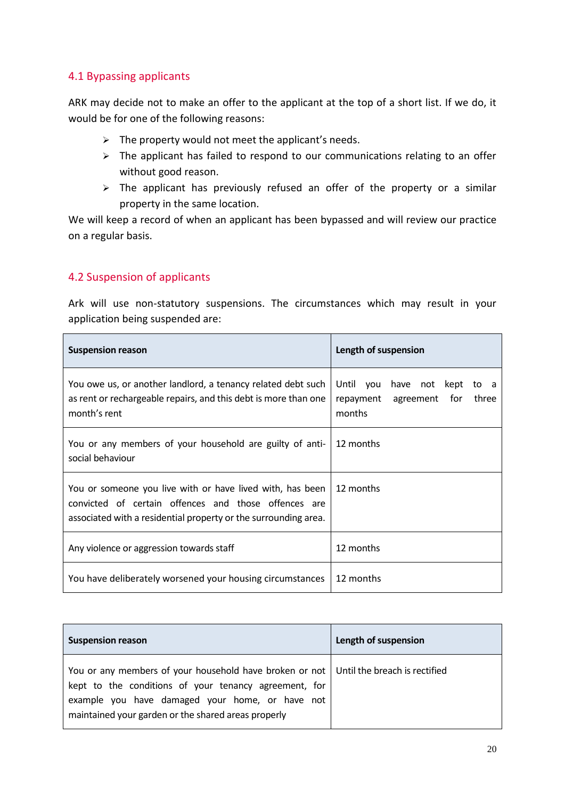#### 4.1 Bypassing applicants

ARK may decide not to make an offer to the applicant at the top of a short list. If we do, it would be for one of the following reasons:

- $\triangleright$  The property would not meet the applicant's needs.
- $\triangleright$  The applicant has failed to respond to our communications relating to an offer without good reason.
- $\triangleright$  The applicant has previously refused an offer of the property or a similar property in the same location.

We will keep a record of when an applicant has been bypassed and will review our practice on a regular basis.

## 4.2 Suspension of applicants

Ark will use non-statutory suspensions. The circumstances which may result in your application being suspended are:

| <b>Suspension reason</b>                                                                                                                                                             | Length of suspension                                                                   |
|--------------------------------------------------------------------------------------------------------------------------------------------------------------------------------------|----------------------------------------------------------------------------------------|
| You owe us, or another landlord, a tenancy related debt such<br>as rent or rechargeable repairs, and this debt is more than one<br>month's rent                                      | Until<br>have not kept<br>you<br>to a<br>repayment<br>agreement for<br>three<br>months |
| You or any members of your household are guilty of anti-<br>social behaviour                                                                                                         | 12 months                                                                              |
| You or someone you live with or have lived with, has been<br>convicted of certain offences and those offences are<br>associated with a residential property or the surrounding area. | 12 months                                                                              |
| Any violence or aggression towards staff                                                                                                                                             | 12 months                                                                              |
| You have deliberately worsened your housing circumstances                                                                                                                            | 12 months                                                                              |

| <b>Suspension reason</b>                                                                                                                                                                                                                                   | Length of suspension |
|------------------------------------------------------------------------------------------------------------------------------------------------------------------------------------------------------------------------------------------------------------|----------------------|
| You or any members of your household have broken or not   Until the breach is rectified<br>kept to the conditions of your tenancy agreement, for<br>example you have damaged your home, or have not<br>maintained your garden or the shared areas properly |                      |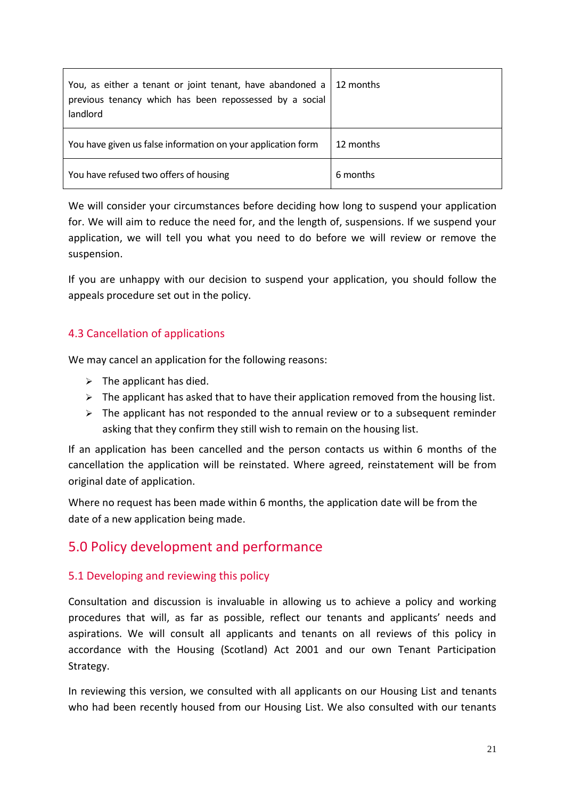| You, as either a tenant or joint tenant, have abandoned a<br>previous tenancy which has been repossessed by a social<br>landlord | 12 months |
|----------------------------------------------------------------------------------------------------------------------------------|-----------|
| You have given us false information on your application form                                                                     | 12 months |
| You have refused two offers of housing                                                                                           | 6 months  |

We will consider your circumstances before deciding how long to suspend your application for. We will aim to reduce the need for, and the length of, suspensions. If we suspend your application, we will tell you what you need to do before we will review or remove the suspension.

If you are unhappy with our decision to suspend your application, you should follow the appeals procedure set out in the policy.

## 4.3 Cancellation of applications

We may cancel an application for the following reasons:

- $\triangleright$  The applicant has died.
- $\triangleright$  The applicant has asked that to have their application removed from the housing list.
- $\triangleright$  The applicant has not responded to the annual review or to a subsequent reminder asking that they confirm they still wish to remain on the housing list.

If an application has been cancelled and the person contacts us within 6 months of the cancellation the application will be reinstated. Where agreed, reinstatement will be from original date of application.

<span id="page-20-0"></span>Where no request has been made within 6 months, the application date will be from the date of a new application being made.

# 5.0 Policy development and performance

## 5.1 Developing and reviewing this policy

Consultation and discussion is invaluable in allowing us to achieve a policy and working procedures that will, as far as possible, reflect our tenants and applicants' needs and aspirations. We will consult all applicants and tenants on all reviews of this policy in accordance with the Housing (Scotland) Act 2001 and our own Tenant Participation Strategy.

In reviewing this version, we consulted with all applicants on our Housing List and tenants who had been recently housed from our Housing List. We also consulted with our tenants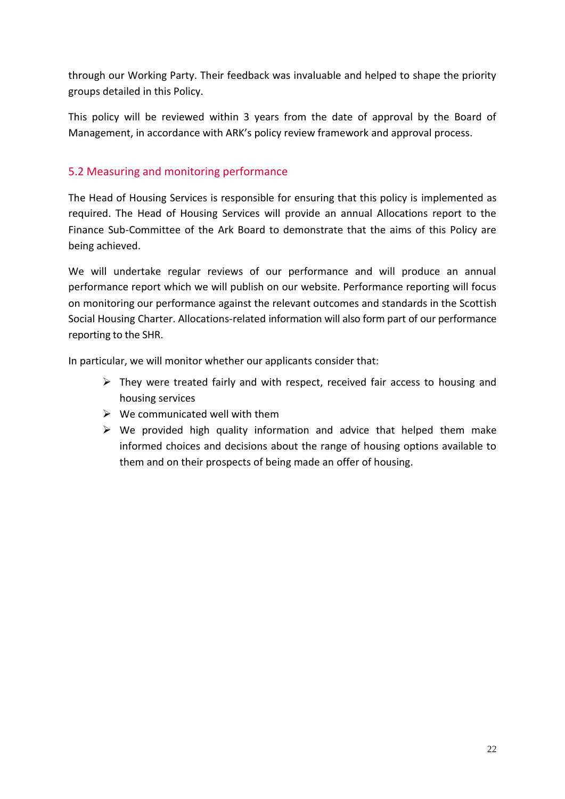through our Working Party. Their feedback was invaluable and helped to shape the priority groups detailed in this Policy.

This policy will be reviewed within 3 years from the date of approval by the Board of Management, in accordance with ARK's policy review framework and approval process.

## 5.2 Measuring and monitoring performance

The Head of Housing Services is responsible for ensuring that this policy is implemented as required. The Head of Housing Services will provide an annual Allocations report to the Finance Sub-Committee of the Ark Board to demonstrate that the aims of this Policy are being achieved.

We will undertake regular reviews of our performance and will produce an annual performance report which we will publish on our website. Performance reporting will focus on monitoring our performance against the relevant outcomes and standards in the Scottish Social Housing Charter. Allocations-related information will also form part of our performance reporting to the SHR.

In particular, we will monitor whether our applicants consider that:

- $\triangleright$  They were treated fairly and with respect, received fair access to housing and housing services
- $\triangleright$  We communicated well with them
- $\triangleright$  We provided high quality information and advice that helped them make informed choices and decisions about the range of housing options available to them and on their prospects of being made an offer of housing.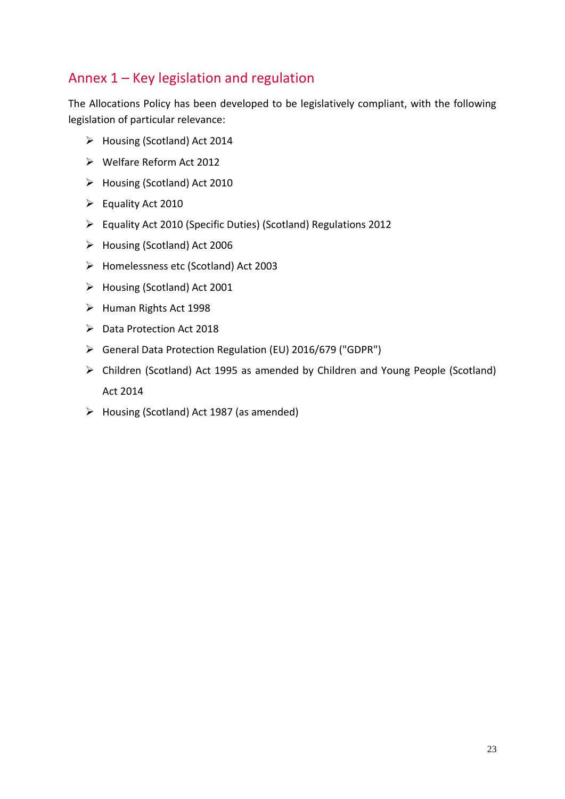# Annex 1 – Key legislation and regulation

The Allocations Policy has been developed to be legislatively compliant, with the following legislation of particular relevance:

- Housing (Scotland) Act 2014
- Welfare Reform Act 2012
- Housing (Scotland) Act 2010
- $\triangleright$  Equality Act 2010
- Equality Act 2010 (Specific Duties) (Scotland) Regulations 2012
- Housing (Scotland) Act 2006
- Homelessness etc (Scotland) Act 2003
- Housing (Scotland) Act 2001
- Human Rights Act 1998
- ▶ Data Protection Act 2018
- General Data Protection Regulation (EU) 2016/679 ("GDPR")
- Children (Scotland) Act 1995 as amended by Children and Young People (Scotland) Act 2014
- $\triangleright$  Housing (Scotland) Act 1987 (as amended)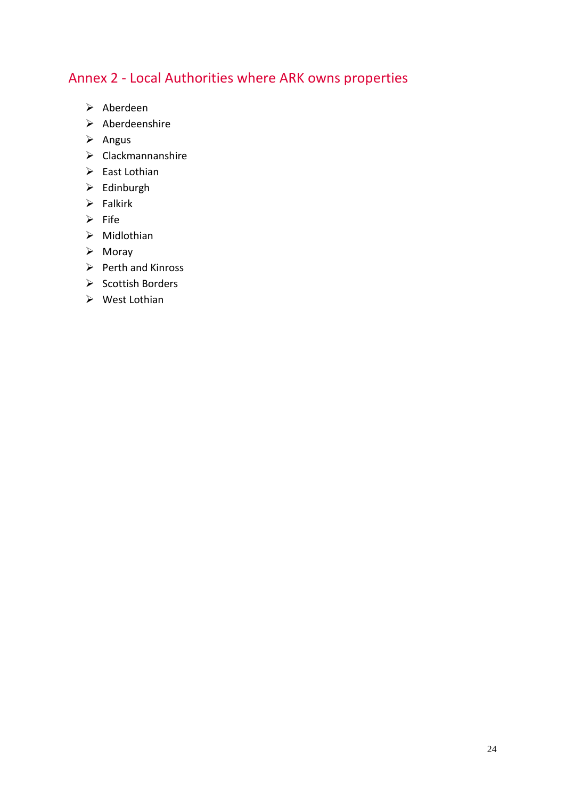# Annex 2 - Local Authorities where ARK owns properties

- $\triangleright$  Aberdeen
- $\triangleright$  Aberdeenshire
- $\triangleright$  Angus
- $\triangleright$  Clackmannanshire
- $\triangleright$  East Lothian
- $\triangleright$  Edinburgh
- $\triangleright$  Falkirk
- $\triangleright$  Fife
- $\triangleright$  Midlothian
- $\triangleright$  Moray
- $\triangleright$  Perth and Kinross
- $\triangleright$  Scottish Borders
- $\triangleright$  West Lothian